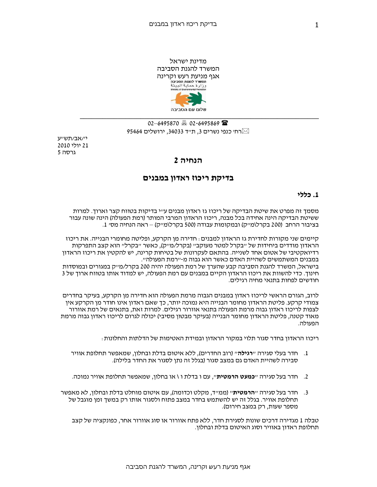מדינת ישראל המשרד להגנת הסביבה אגף מניעת רעש וקרינה ,<br>המשרד להגנת הסביבה<br>وزارة حماية البيئة שלום עם הסביבה

רחי כנפי נשרים 3, ת׳יד 34033, ירושלים 95464

יי/אב/תשייע 21 יולי 2010 גרסה 5

# הנחיה 2

## בדיקת ריכוז ראדון במבנים

### 1. כללי

מסמד זה מפרט את שיטת הבדיקה של ריכוז גז ראדוו מבנים ע״י בדיקות בטווח קצר וארוד. למרות ששיטת הבדיקה הינה אחידה בכל מבנה, ריכוז הראדון המרבי המותר (רמת הפעולה) הינה שונה עבור בציבור הרחב (200 בקרל\מייק) ובמקומות עבודה (500 בקרל\מייק) – ראה הנחיה מסי 1.

קיימים שני מקורות לחדירת גז הראדוו למבנים : חדירה מו הקרקע. ופליטה מחומרי הבנייה. את ריכוז הראדון מודדים ביחידות של ״בקרל למטר מעוקב״ (בקרל/מ״ק), כאשר ״בקרל״ הוא קצב התפרקות רדיואקטיבי של אטום אחד לשנייה. בהתאם לעקרונות של בטיחות קרינה, יש להקטין את ריכוז הראדון במבנים המשתמשים לשהיית האדם כאשר הוא גבוה מ-״רמת הפעולה״. בישראל, המשרד להגנת הסביבה קבע שהערך של רמת הפעולה יהיה 200 בקרל/מייק במגורים ובמוסדות חינוך. כדי להשוות את ריכוז הראדון הקיים במבנים עם רמת הפעולה, יש למדוד אותו בטווח ארוך של 3 חודשים לפחות בתנאי מחיה רגילים.

לרוב. הגורם הראשי לריכוז ראדוו במבנים הגבוה מרמת הפעולה הוא חדירה מו הקרקע. בעיקר בחדרים צמודי קרקע. פליטת הראדון מחומר הבנייה היא נמוכה יותר, כך שאם ראדון אינו חודר מן הקרקע אין לצפות לריכוז ראדון גבוה מרמת הפעולה בתנאי אוורור רגילים. למרות זאת, בתנאים של רמת אוורור מאוד קטנה, פליטת הראדון מחומר הבנייה (בעיקר מבטון מסיבי) יכולה לגרום לריכוז ראדון גבוה מרמת הפעולה.

ריכוז הראדון בחדר סגור תלוי במקור הראדון ובמידת האטימות של הדלתות והחלונות :

- 1. חדר בעלי סגירה ״**רגילה**״ (רוב החדרים), ללא איטום בדלת ובחלון, שמאפשר תחלופת אוויר סבירה לשהיית האדם גם במצב סגור (בגלל זה נתן לסגור את החדר בלילה).
- 2. חדר בעל סגירה ״**כמעט הרמטית**״, עם ו בדלת ו \ או בחלון, שמאפשר תחלופת אוויר נמוכה.
- 3. חדר בעל סגירה ״**הרמטית**״ (ממ״ד, מקלט וכדומה), עם איטום מוחלט בדלת ובחלון, לא מאפשר תחלופת אוויר. בגלל זה יש להשתמש בחדר במצב פתוח ולסגור אותו רק במשך זמן מוגבל של מספר שעות, רק במצב חירום).

טבלה 1 מגדירה דרכים שונות לסגירת חדר. ללא פתח אוורור או סוג אוורור אחר. כפונקציה של קצב תחלופת ראדון באוויר וסוג האיטום בדלת ובחלון.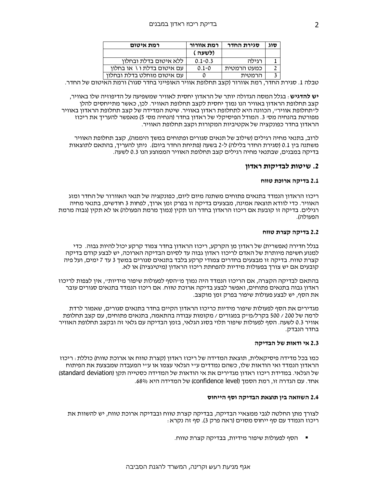| רמת איטום                  | רמת אוורור  | סגירת החדר  | סוג |
|----------------------------|-------------|-------------|-----|
|                            | ( לשעה)     |             |     |
| ללא איטום בדלת ובחלוו      | $0.1 - 0.3$ | רגילה       |     |
| עם איטום בדלת ו \ או בחלוו | $0.1 - 0$   | כמעט הרמטית |     |
| עם איטום מוחלט בדלת ובחלוו |             | הרמטית      |     |

טבלה 1. סגירת החדר, רמת אוורור (קצב תחלופת אוויר האופייני בחדר סגור) ורמת האיטום של החדר.

**יש להדגיש** : בגלל המסה הגדולה יותר של הראדון יחסית לאוויר שמשפיעה על הדיפוזיה שלו באוויר, קצב תחלופת הראדון באוויר הנו נמוך יחסית לקצב תחלופת האוויר. לכן, כאשר מתייחסים להלן ל״תחלופת אוויר״, הכוונה היא לתחלופת ראדון באוויר. שיטת המדידה של קצב תחלופת הראדון באוויר מפורטת בהנחיה מס׳ 3. המודל הפיסיקלי של ראדון בחדר (הנחיה מס׳ 5) מאפשר להעריך את ריכוז הראדון בחדר כפונקציה של אקטיביות המקורות וקצב תחלופת האוויר.

לרוב, בתנאי מחיה רגילים (שילוב של תנאים סגורים ופתוחים במשך היממה), קצב תחלופת האוויר משתנה בין 0.1 (סגירת החדר בלילה) ל-2 בשעה (פתיחת החדר ביום). ניתן להעריך, בהתאם לתוצאות בדיקה במבנים, שבתנאי מחיה רגילים קצב תחלופת האוויר הממוצע הנו 0.3 לשעה.

### 2. שיטות לבדיקות ראדוו

#### 2.1 בדיקה ארוכת טווח

ריכוז הראדון הנמדד בתנאים פתוחים משתנה מיום ליום, כפונקציה של תנאי האוורור של החדר ומזג האוויר. כדי לוודא תוצאה אמינה, מבצעים בדיקה זו בפרק זמן ארוך, לפחות 3 חודשים, בתנאי מחיה רגילים. בדיקה זו קובעת אם ריכוז הראדון בחדר הנו תקין (נמוך מרמת הפעולה) או לא תקין (גבוה מרמת הפעולה).

#### 2.2 בדיקה קצרת טווח

בגלל חדירה (אפשרית) של ראדון מן הקרקע, ריכוז הראדון בחדר צמוד קרקע יכול להיות גבוה. כדי למנוע חשיפה מיותרת של האדם לריכוז ראדון גבוה עד לסיום הבדיקה הארוכה, יש לבצע קודם בדיקה קצרת טווח. בדיקה זו מבצעים בחדרים צמודי קרקע בלבד בתנאים סגורים במשך 3 עד 7 ימים, ועל פיה קובעים אם יש צורד בפעולות מידיות להפחתת ריכוז הראדון (מיטיגציה) או לא.

בהתאם לבדיקה הקצרה, אם הריכוז הנמדד היה נמוך מייהסף לפעולות שיפור מידיות״, אין לצפות לריכוז ראדון גבוה בתנאים פתוחים, ואפשר לבצע בדיקה ארוכת טווח. אם ריכוז הנמדד בתנאים סגורים עובר את הסף, יש לבצע פעולות שיפור בפרק זמן מוקצב.

מגדירים את הסף לפעולות שיפור מידיות כריכוז הראדון הקיים בחדר בתנאים סגורים, שאמור לרדת לרמה של 200 / 500 בקרל/מייק במגורים / מקומות עבודה בהתאמה, בתנאים פתוחים, עם קצב תחלופת אוויר 0.3 לשעה. הסף לפעולות שיפור תלוי בסוג הגלאי, בזמן הבדיקה עם גלאי זה ובקצב תחלופת האוויר בחדר הנבדק.

#### 2.3 אי ודאות של הבדיקה

כמו בכל מדידה פיסיקאלית. תוצאת המדידה של ריכוז ראדון (קצרת טווח או ארוכת טווח) כוללת : ריכוז הראדון הנמדד ואי הודאות שלו, כשהם נמדדים ע״י הגלאי עצמו או ע״י המעבדה שמבצעת את הפיתוח של הגלאי. במדידת ריכוז ראדוו מגדירים את אי הודאות של המדידה כסטייה תקו (standard deviation) אחד. עם הגדרה זו, רמת הסמך (confidence level) של המדידה היא 68%.

#### 2.4 השוואה בין תוצאת הבדיקה וסף הייחוס

לצורך מתו החלטה לגבי ממצאיי הבדיקה, בבדיקה קצרת טווח ובבדיקה ארוכת טווח, יש להשוות את ריכוז הנמדד עם סף ייחוס מסוים (ראה פרק 3). סף זה נקרא :

■ – הסף לפעולות שיפור מידיות, בבדיקה קצרת טווח.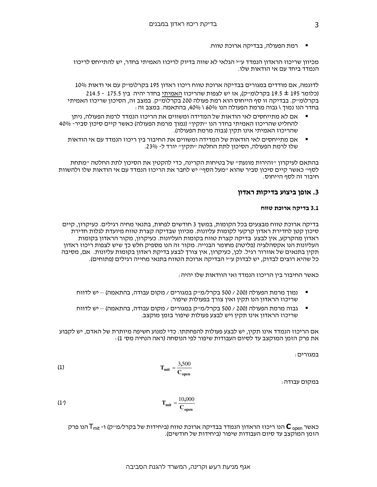▪ רמת הפעולה, בבדיקה ארוכת טווח.

מכיוון שריכוז הראדון הנמדד ע״י הגלאי לא שווה בדיוק לריכוז האמיתי בחדר, יש להתייחס לריכוז הנמדד ביחד עם אי הודאות שלו.

לדוגמה, אם מודדים במגורים בבדיקה ארוכת טווח ריכוז ראדון 195 בקרלומייק עם אי ודאות 10%

(כלומר 195 ± 19.5 בקרלומייק), אז יש לצפות שהריכוז האמיתי בחדר יהיה בין 175.5 - 214.5 בקרלומייק. בבדיקה זו סף הייחוס הוא רמת פעולה 200 בקרלומייק. במצב זה, הסיכון שריכוז האמיתי בחדר הנו נמוך \ גבוה מרמת הפעולה הנו 160% \ 40%, בהתאמה. במצב זה :

- אם לא מתייחסים לאי הודאות של המדידה ומשווים את הריכוז הנמדד לרמת הפעולה, ניתן להחליט שהריכוז האמיתי בחדר הנו "תקין" (נמוך מרמת הפעולה) כאשר קיים סיכון סביר- 40% שהריכוז האמיתי אינו תקין (גבוה מרמת הפעולה).
	- אם מתייחסים לאי הודאות של המדידה ומשווים את החיבור בין ריכוז הנמדד עם אי הודאות שלו לרמת הפעולה, הסיכון לתת החלטה "תקין" יורד ל- 23%.

בהתאם לעיקרון ״זהירות מונעת״ של בטיחות הקרינה, כדי להקטין את הסיכון לתת החלטה ״מתחת לסף״ כאשר קיים סיכון סביר שהוא ״מעל הסף״ יש לחבר את הריכוז הנמדד עם אי הודאות שלו ולהשוות חיבור זה לסף הייחוס.

## 3. אופן ביצוע בדיקות ראדון

#### 3.1 בדיקה ארוכת טווח

בדיקה ארוכת טווח מבצעים בכל הקומות, במשך 3 חודשים לפחות, בתנאי מחיה רגילים. כעיקרון, קיים סיכון קטן לחדירת ראדון קרקעי לקומות עליונות. מכיוון שבדיקה קצרת טווח מיועדת לגלות חדירת ראדון מהקרקע, אין לבצע בדיקה קצרת טווח בקומות העליונות. כעיקרון, מקור הראדון בקומות העליונות הנו אקסהלציה (פליטה) מחומר הבנייה. מקור זה הנו מספיק חלש כך שיש לצפות ריכוז ראדון תקין בתנאים של אוורור רגיל. לכן, כעיקרון, אין צורך לבצע בדיקת ראדון בקומות עליונות. אם, מסיבה כל שהיא רוצים לבדוק, יש לבדוק ע״י הבדיקה ארוכת הטווח בתנאי מחייה רגילים (פתוחים).

כאשר החיבור בין הריכוז הנמדד ואי הוודאות שלו יהיה :

- נמוך מרמת הפעולה (200 / 500 בקרל/מייק במגורים / מקום עבודה, בהתאמה) יש לדווח שריכוז הראדון הנו תקין ואין צורך בפעולות שיפור.
- גבוה מרמת הפעולה (200 / 500 בקרל/מייק במגורים / מקום עבודה, בהתאמה) יש לדווח שריכוז הראדון אינו תקין ויש לבצע פעולות שיפור בזמן מוקצב.

אם הריכוז הנמדד אינו תקין, יש לבצע פעולות להפחתתו. כדי למנוע חשיפה מיותרת של האדם, יש לקבוע את פרק הזמן המוקצב עד לסיום העבודות שיפור לפי הנוסחה (ראה הנחיה מסי 1):

במגורים :

$$
T_{\text{mit}} = \frac{3,500}{C_{\text{open}}}
$$

במקום עבודה :

$$
T_{\text{mit}} = \frac{10,000}{C_{\text{open}}}
$$

כאשר ה $\mathsf T_{\mathsf{mif}}$  הנו ריכוז הראדון הנמדד בבדיקה ארוכת טווח (ביחידות של בקרל/מייק) ו-  $\mathsf T_{\mathsf{mif}}$  הנו פרק הזמן המוקצב עד סיום העבודות שיפור (ביחידות של חודשים).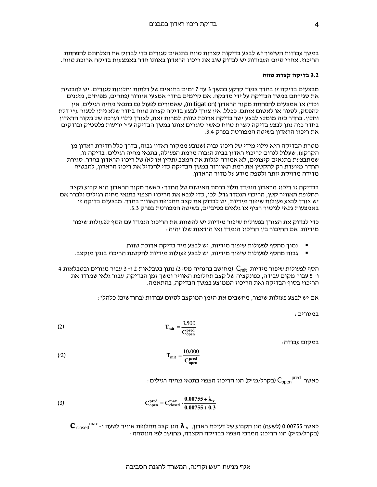במשך עבודות השיפור יש לבצע בדיקות קצרות טווח בתנאים סגורים כדי לבדוק את הצלחתם להפחתת הריכוז. אחרי סיום העבודות יש לבדוק שוב את ריכוז הראדון באותו חדר באמצעות בדיקה ארוכת טווח.

#### 3.2 בדיקה קצרת טווח

מבצעים בדיקה זו בחדר צמוד קרקע במשד 3 עד 7 ימים בתנאים של דלתות וחלונות סגורים. יש להבטיח את סגירתם במשך הבדיקה על ידי מדבקה. אם קיימים בחדר אמצעי אוורור (פתחים, מפוחים, מזגנים וכד׳) או אמצעים להפחתת מקור הראדון (mitiqation), שאמורים לפעול גם בתנאי מחיה רגילים. איו להפסק, לסגור או לאטום אותם. ככלל, אין צורך לבצע בדיקה קצרת טווח בחדר שלא ניתן לסגור ע״י דלת וחלון. בחדר כזה מומלץ לבצע ישר בדיקה ארוכת טווח. למרות זאת, לצורך גילוי וערכה של מקור הראדון בחדר כזה נתן לבצע בדיקה קצרת טווח כאשר סוגרים אותו במשך הבדיקה ע״י יריעות פלסטיק ובודקים את ריכוז הראדון בשיטה המפורטת בפרק 3.4.

מטרת הבדיקה היא גילוי מידי של ריכוז גבוה (שנובע ממקור ראדון גבוה, בדרך כלל חדירת ראדון מן הקרקע), שעלול לגרום לריכוז ראדון בבית הגבוה מרמת הפעולה, בתנאי מחיה רגילים. בדיקה זו, שמתבצעת בתנאים קיצונים, לא אמורה לגלות את המצב (תקין או לא) של ריכוז הראדון בחדר. סגירת החדר מיועדת רק להקטין את רמת האוורור במשך הבדיקה כדי להגדיל את ריכוז הראדון, להבטיח מדידה מדויקת יותר ולספק מידע על מדור הראדון.

בבדיקה זו ריכוז הראדון הנמדד תלוי ברמת האיטום של החדר : כאשר מקור הראדון הוא קבוע וקצב תחלופת האוויר קטן, הריכוז הנמדד גדל. לכן, כדי לנבא את הריכוז הצפוי בתנאי מחיה רגילים ולברר אם יש צורך לבצע פעולות שיפור מידיות, יש לבדוק את קצב תחלופת האוויר בחדר. מבצעים בדיקה זו באמצעות גלאי לניטור רציף או גלאים פסיביים, בשיטה המפורטת בפרק 3.3.

כדי לבדוק את הצורך בפעולות שיפור מידיות יש להשוות את הריכוז הנמדד עם הסף לפעולות שיפור מידיות. אם החיבור בין הריכוז הנמדד ואי הודאות שלו יהיה :

- \_ נמוך מהסף לפעולות שיפור מידיות, יש לבצע מיד בדיקה ארוכת טווח.
- גבוה מהסף לפעולות שיפור מידיות, יש לבצע פעולות מידיות להקטנת הריכוז בזמן מוקצב.

4 הסף לפעולות שיפור מידיות  $\rm C_{mit}$  (מחושב בהנחיה מסי 3) נתון בטבלאות 2 ו- 3 עבור מגורים ובטבלאות ו- 5 עבור מקום עבודה, כפונקציה של קצב תחלופת האוויר ומשך זמן הבדיקה, עבור גלאי שמודד את הריכוז בסוף הבדיקה ואת הריכוז הממוצע במשך הבדיקה, בהתאמה.

אם יש לבצע פעולות שיפור, מחשבים את הזמן המוקצב לסיום עבודות (בחודשים) כלהלן:

רמנוריח

$$
T_{\text{mit}} = \frac{3,500}{C_{\text{open}}^{\text{pred}}}
$$

במקום עבודה:

$$
T_{\rm mit} = \frac{10,000}{C_{\rm open}^{\rm pred}}
$$

: כאשר  $\mathsf{C_{\mathrm{open}}}^{\mathrm{pred}}$  (בקרל/מ׳יק) הנו הריכוז הצפוי בתנאי מחיה רגילים

(3) 
$$
C_{\text{open}}^{\text{pred}} = C_{\text{closed}}^{\text{max}} \cdot \frac{0.00755 + \lambda_v}{0.00755 + 0.3}
$$

 $\textbf{C}$  closed כאשר 0.00755 (לשעה) הנו הקבוע של דעיכת ראדון,  $\textbf{\textit{h}}_{\rm v}$  הנו קצב תחלופת אוויר לשעה ו- 0.00755 (בקרל/מייק) הנו הריכוז המרבי הצפוי בבדיקה הקצרה, מחושב לפי הנוסחה :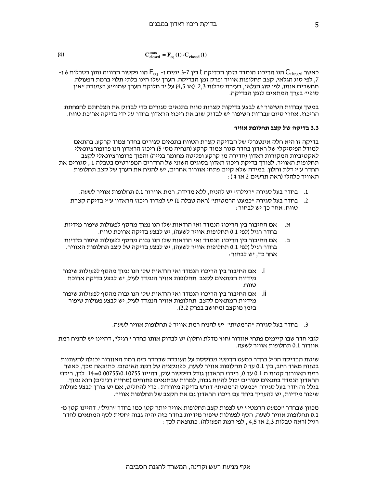(4) 
$$
\mathbf{C}^{\max}_{\text{closed}} = \mathbf{F}_{\text{eq}}(t) \cdot \mathbf{C}_{\text{closed}}(t)
$$

- כאשר C<sub>closed</sub> הנו הריכוז הנמדד בזמן הבדיקה t בין 3-7 ימים ו- F<sub>ea</sub> הנו פקטור הרוויה נתון בטבלות 6 ו 7, לפי סוג הגלאי, קצב תחלופות אוויר ופרק זמן הבדיקה. הערך שלו הינו בלתי תלוי ברמת הפעולה. מחשבים אותו, לפי סוג הגלאי, בעזרת טבלות 2,3 (או 4,5) על יד חלוקת הערך שמופיע בעמודה ״אין סופי״ בערך המתאים לזמן הבדיקה.

במשך עבודות השיפור יש לבצע בדיקות קצרות טווח בתנאים סגורים כדי לבדוק את הצלחתם להפחתת הריכוז. אחרי סיום עבודות השיפור יש לבדוק שוב את ריכוז הראדון בחדר על ידי בדיקה ארוכת טווח.

#### 3.3 בדיקה של קצב תחלופת אוויר

בדיקה זו היא חלק אינטגרלי של הבדיקה קצרת הטווח בתנאים סגורים בחדר צמוד קרקע. בהתאם למודל הפיסיקלי של ראדון בחדר סגור צמוד קרקע (הנחיה מס׳ 5) ריכוז הראדון הנו פרופורציונאלי לאקטיביות המקורות ראדון (חדירה מן קרקע ופליטה מחומר בנייה) והפוך פרופורציונאלי לקצב תחלופות האוויר. לצורך בדיקת ריכוז ראדון בסוגים השוני של החדרים המפורטים בטבלה 1 , סגורים את החדר ע״י דלת וחלון. במידה שלא קיים פתחי אוורור אחרים, יש להניח את הערך של קצב תחלופות האוויר כלהלו (ראה תרשים 2 או 4 ):

- 1. בחדר בעל סגירה "רגילה" יש להניח, ללא מדידה, רמת אוורור 0.1 תחלופות אוויר לשעה.
- בחדר בעל סגירה ״כמעט הרמטית״ (ראה טבלה 1) יש למדוד ריכוז הראדון ע״י בדיקה קצרת  $\cdot$ .2 טווח. אחר כך יש לבחור:
- אם החיבור בין הריכוז הנמדד ואי הודאות שלו הנו נמוך מהסף לפעולות שיפור מידיות ٦Χ. בחדר רגיל (לפי 0.1 תחלופות אוויר לשעה), יש לבצע בדיקה ארוכת טווח.
- אם החיבור בין הריכוז הנמדד ואי הודאות שלו הנו גבוה מהסף לפעולות שיפור מידיות ב. בחדר רגיל (לפי 0.1 תחלופות אוויר לשעה), יש לבצע בדיקה של קצב תחלופות האוויר. אחר כך, יש לבחור :
- i. אם החיבור בין הריכוז הנמדד ואי הודאות שלו הנו נמוך מהסף לפעולות שיפור מידיות המתאים לקצב תחלופות אוויר הנמדד לעיל, יש לבצע בדיקה ארוכת טווח.
- ii. אם החיבור בין הריכוז הנמדד ואי הודאות שלו הנו גבוה מהסף לפעולות שיפור מידיות המתאים לקצב תחלופות אוויר הנמדד לעיל, יש לבצע פעולות שיפור בזמן מוקצב (מחושב בפרק 3.2).
	- 3. בחדר בעל סגירה ״הרמטית״ יש להניח רמת אוויר 0 תחלופות אוויר לשעה.

לגבי חדר שבו קיימים פתחי אוורור (חוץ מדלת וחלון) יש לבדוק אותו כחדר ״רגיל״, דהיינו יש להניח רמת אוורור 0.1 תחלופות אוויר לשעה.

שיטת הבדיקה הנייל בחדר כמעט הרמטי מבוססת על העובדה שבחדר כזה רמת האוורור יכולה להשתנות בטווח מאוד רחב, בין 0.1 עד 0 תחלופות אוויר לשעה, כפונקציה של רמת האיטום. כתוצאה מכך, כאשר רמת האוורור קטנת מ 0.1 עד 0, ריכוז הראדון גודל בפקטור ענק, דהיינו 0.10755\0.10755 .5. לכן, ריכוז הראדון הנמדד בתנאים סגורים יכול להיות גבוה, למרות שבתנאים פתוחים (מחייה רגילים) הוא נמוך. בגלל זה חדר בעל סגירה ״כמעט הרמטית״ דורש בדיקה מיוחדת : כדי להחליט, אם יש צורך לבצע פעולות שיפור מידיות, יש להעריך ביחד עם ריכוז הראדון גם את הקצב של תחלופות אוויר.

מכוון שבחדר ״כמעט הרמטי״ יש לצפות קצב תחלופות אוויר יותר קטן כמו בחדר ״רגיל״, דהיינו קטן מ-0.1 תחלופות אוויר לשעה, הסף לפעולות שיפור מידיות בחדר כזה יהיה גבוה יחסית לסף המתאים לחדר רגיל (ראה טבלות 2,3 או 4,5 , לפי רמת הפעולה). כתוצאה לכך :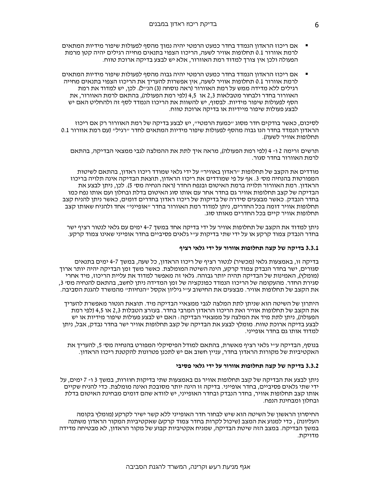- אם ריכוז הראדון הנמדד בחדר כמעט הרמטי יהיה נמוך מהסף לפעולות שיפור מידיות המתאים לרמת אוורור 0.1 תחלופות אוויר לשעה, הריכוז הצפוי בתנאים מחייה רגילים יהיה קטן מרמת הפעולה ולכן אין צורך למדוד רמת האוורור, אלא יש לבצע בדיקה ארוכת טווח.
- אם ריכוז הראדון הנמדד בחדר כמעט הרמטי יהיה גבוה מהסף לפעולות שיפור מידיות המתאים לרמת אוורור 0.1 תחלופות אוויר לשעה, אין אפשרות להעריך את הריכוז הצפוי בתנאים מחייה רגילים ללא מדידה ממש על רמת האוורור (ראה נוסחה (3) הנייל). לכן, יש למדוד את רמת האוורור בחדר ולבחור מטבלאות 2.3 או 4.5 (לפי רמת הפעולה), בהתאם לרמת האוורור, את הסף לפעולות שיפור מידיות. לבסוף, יש להשוות את הריכוז הנמדד לסף זה ולהחליט האם יש לבצע פעולות שיפור מיידיות או בדיקה ארוכת טווח.

לסיכום, כאשר בודקים חדר מסוג ״כמעת הרמטי״, יש לבצע בדיקה של רמת האוורור רק אם ריכוז הראדון הנמדד בחדר הנו גבוה מהסף לפעולות שיפור מידיות המתאים לחדר ״רגיל״ (עם רמת אוורור 0.1 תחלופות אוויר לשעה).

תרשים זרימה 2 ו- 4 (לפי רמת הפעולה), מראה איך לתת את ההמלצה לגבי ממצאי הבדיקה, בהתאם לרמת האוורור בחדר סגור.

מודדים את הקצב של תחלופות ״ראדון באוויר״ על ידי גלאי שמודד ריכוז ראדון, בהתאם לשיטות המפורטות בהנחיה מסי 3. אף על פי שמודדים את ריכוז הראדון, תוצאת הבדיקה אינה תלויה בריכוז הראדון. רמת האוורור תלויה ברמת האיטום ובנפח החדר (ראה הנחיה מס׳ 5). לכן, ניתן לבצע את הבדיקה של קצב תחלופות אוויר גם בחדר אחר עם אותו סוג האיטום בדלת ובחלון ועם אותו נפח כמו בחדר הנבדק. כאשר מבצעים סידרה של בדיקות של ריכוז ראדון בחדרים דומים, כאשר ניתן להניח קצב תחלופות אוויר דומה בכל החדרים, ניתן למדוד רמת האוורור בחדר ״אופייני״ אחד ולהניח שאותו קצב תחלופות אוויר קיים בכל החדרים מאותו סוג.

ניתן למדוד את הקצב של תחלופות אוויר על ידי בדיקה אחד במשך 7-4 ימים עם גלאי לנטור רציף ישר בחדר הנבדק צמוד קרקע או על ידי שתי בדיקות ע״י גלאים פסיביים בחדר אופייני שאינו צמוד קרקע.

#### 3.3.1 בדיקה של קצה תחלופות אוורור על ידי גלאי רציף

בדיקה זו, באמצעות גלאי (מכשיר) לנטור רציף של ריכוז הראדון, כל שעה, במשך 4-7 ימים בתנאים סגורים, ישר בחדר הנבדק צמוד קרקע, הינה השיטה המומלצת. כאשר משך זמן הבדיקה יהיה יותר ארוך (מומלץ), האמינות של הבדיקה תהיה יותר גבוהה. גלאי זה מאפשר למדוד את עליית הריכוז, מיד אחרי סגירת החדר. מהעקומה של הריכוז הנמדד כפונקציה של זמו המדידה ניתו לחשב. בהתאם להנחיה מס׳ 3. את הקצב של תחלופות אוויר. מבצעים את החישוב ע״י גיליון אקסל ״הנחיות״ מהמשרד להגנת הסביבה.

היתרון של השיטה הוא שניתן לתת המלצה לגבי ממצאיי הבדיקה מיד. תוצאת הנטור מאפשרת להעריך את הקצב של תחלופות אוויר ואת הריכוז הראדון המרבי בחדר. בעזרצ הטבלות 2,3 או 4,5 (לפי רמת הפעולה), ניתן לתת מיד את המלצה על ממצאיי הבדיקה : האם יש לבצע פעולות שיפור מידיות או יש לבצע בדיקה ארוכת טווח. מומלץ לבצע את הבדיקה של קצב תחלופות אוויר ישר בחדר נבדק, אבל, ניתן למדוד אותו גם בחדר אופייני.

בנוסף, הבדיקה ע״י גלאי רציף מאשרת, בהתאם למודל הפיסיקלי המפורט בהנחיה מס׳ 5, להעריך את האקטיביות של מקורות הראדון בחדר, עניין חשוב אם יש לתכנן פטרונות להקטנת ריכוז הראדון.

#### 3.3.2 בדיקה של קצה תחלופות אוורור על ידי גלאי פסיבי

ניתו לבצע את הבדיקה של קצב תחלופות אוויר גם באמצעות שתי בדיקות חוזרות. במשד 3 ו- 7 ימים. על ידי שתי גלאים פסיביים, בחדר אופייני. בדיקה זו הינה יותר מסובכת ואינה מומלצת. כדי להניח שקיים אותו קצב תחלופות אוויר, בחדר הנבדק ובחדר האופייני, יש לוודא שהם דומים מבחינת האיטום בדלת ובחלון ומבחינת הנפח.

החיסרון הראשון של השיטה הוא שיש לבחור חדר האופייני ללא קשר ישיר לקרקע (מומלץ בקומה העליונה) , כדי למנוע את המצב (שיכול לקרות בחדר צמוד קרקע) שאקטיביות המקור הראדון משתנה במשך הבדיקה. במצב הזה שיטת הבדיקה, שמניח אקטיביות קבוע של מקור הראדון, לא מבטיחה מדידה מדויקת.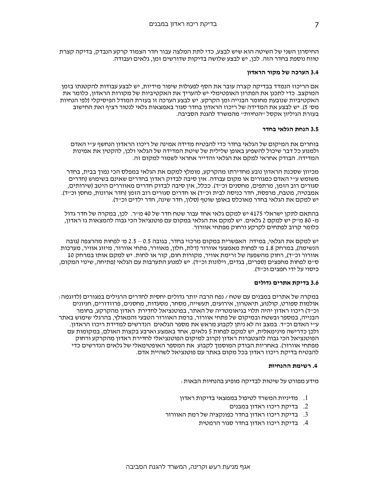החיסרון השני של השיטה הוא שיש לבצע. כדי לתת המלצה עבור חדר הצמוד קרקע הנבדק. בדיקה קצרת טווח נוספת בחדר הזה. לכן, יש לבצע שלושה בדיקות שדורשים זמן, גלאים ועבודה.

#### 3.4 הערכה של מקור הראדון

אם הריכוז הנמדד בבדיקה קצרה עובר את הסף לפעולות שיפור מידיות, יש לבצע עבודות להקטנתו בזמן המוקצב. כדי לתכנן את הפתרון האופטימלי יש להעריך את האקטיביות של מקורות הראדון, כלומר את האקטיביות שנובעת מחומר הבנייה ומן הקרקע. יש לבצע הערכה זו בעזרת המודל הפיסיקלי (לפי הנחיות מסי 5). יש לבצע את המדידה של ריכוז הראדון בחדר סגור באמצאות גלאי לנטור רציף ואת החישוב בעזרת הגיליון אקסל ״הנחיות״ מהמשרד להגנת הסביבה.

### 3.5 הנחת הגלאי בחדר

בוחרים את המיקום של הגלאי בחדר כדי להבטיח מדידה אמינה של ריכוז הראדון הנחשף ע״י האדם ולמנוע כל דבר שיכול להשפיע באופן שלילית של שיטת המדידה של הגלאי ולכן, להקטין את אמינות המדידה. הבודק אחראי למקם את הגלאי והדייר אחראי לשמור למקום זה.

מכיוון שסכנת הראדון נובע מחדירתו מהקרקע, מומלץ למקם את הגלאי במפלס הכי נמוד בבית, בחדר משומש ע״י האדם כמגורים או מקום עבודה. אין סיבה לבדוק ראדון בחדרים שאינם בשימוש (חדרים סגורים רוב הזמן, מרתפים, מחסנים וכ״ד). ככלל, אין סיבה לבדוק חדרים מאווררים היטב (שירותים, אמבטיה, מטבח, מרפסת, חדר כניסה לבית וכ״ד) או חדרים סגורים רוב הזמן (חדר ארונות, מחסן וכ״ד). יש למקם את הגלאי בחדר מאוכלס באופן שוטף (סלון, חדר שינה, חדר ילדים וכ״ד).

בהתאם לתקן ישראלי 4175 יש למקם גלאי אחד עבור שטח חדר של 40 מייר. לכן, במקרה של חדר גדול מ- 80 מייק יש למקם 2 גלאים. יש למקם את הגלאי במקום עם פוטנציאל הכי גבוה להמצאות גז ראדון, כלומר קרוב לפתחים לקרקע ורחוק מפתחי אוורור.

יש למקם את הגלאי, במידה האפשרית במקום מרכזי בחדר, בגובה 0.5 – 2.5 מי לפחות מהרצפה (גובה הנשימה), במרחק 1.8 מי לפחות מאמצעי אוורור (דלת, חלון, מאוורר, פתחי אוורור, מיזוג אוויר, מערכות אוורור וכייד), רחוק מהשפעה של זרימת אוויר, מקורות חום, קור או לחות. יש למקם אותו במרחק 10 סיימ לפחות מחפצים (ספרים, בגדים, וילונות וכ׳יד). יש למנוע התערבות עם הגלאי (פתיחה, שינוי המקום, כיסוי על ידי חפצים וכייד).

### 3.6 בדיקת אתרים גדולים

במקרה של אתרים במבנים עם שטח / נפח הרבה יותר גדולים יחסית לחדרים הרגילים במגורים (לדוגמה : אולמות ספורט, קולנוע, תיאטרון, אירועים, תעשייה, מסחר, מסעדות, מחסנים, פרוזדורים, חניונים וכייד) ריכוז ראדון יהיה תלוי בגיאומטריה של האתר, בפוטנציאל לחדירת ראדון מהקרקע, בחומר הבנייה, במספר ובשטח ובמיקום של פתחי אוורור, ברמת האוורור הטבעי והמאולץ, בהרגלי שימוש באתר ע״י האדם וכ״ד. במצב זה לא ניתן לקבוע מראש את מספר הגלאים | הנדרשים למדידת ריכוז הראדון. ולכן כדרישה מינימאלית, יש למקם לפחות 5 גלאים, אחד באמצע וארבע בקצות האולם, במקומות עם הפוטנציאל הכי גבוה להצטברות ראדון (קרוב למיקום הפוטנציאלי לחדירת ראדון מהקרקע ורחוק מפתחי אוורור). באחריות הבודק המוסמך לקבוע את המספר האופטימאלי של גלאים הנדרשים כדי להבטיח בדיקת ריכוז ראדון בכל מקום באתר עם פוטנציאל לשהיית אדם.

#### 4. רשימת ההנחיות

מידע מפורט על שיטות לבדיקה מופיע בהנחיות הבאות :

- 1. מדיניות המשרד לטיפול בממצאי בדיקות ראדון
	- 2. בדיקת ריכוז ראדון במבנים
- $\,$ נ. בדיקת ריכוז ראדון בחדר כפונקציה של רמת האוורור  $\,$ 
	- 4. בדיקת ריכוז ראדון בחדר סגור הרמטית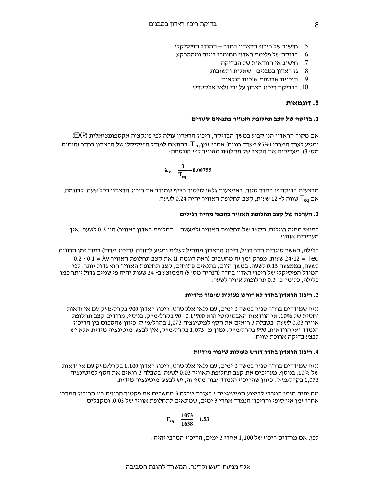- ס. חישוב של ריכוז הראדון בחדר המודל הפיסיקלי
- בדיקה של פליטת ראדון מחומרי בנייה ומהקרקע.  $6$ 
	- 7. חישוב אי הוודאות של הבדיקה
	- 8. גז ראדון במבנים שאלות ותשובות
		- 9. תוכנית אבטחת איכות הגלאים
	- בבדיקת ריכוז ראדון על ידי גלאי אלקטרט  $10$

#### $5.$  דוגמאות

#### 1. בדיקה של קצב תחלופת האוויר בתנאים סגורים

אם מקור הראדון הנו קבוע במשך הבדיקה, ריכוז הראדון עולה לפי פונקציה אקספוננציאלית (EXP) ומגיע לערך המרבי (95% מערך רוויה) אחרי זמן T<sub>ea.</sub> ומגיע לערך המרבי (95% ומגיע לערך המרבי ה מסי 3), מעריכים את הקצב של תחלופת האוויר לפי הנוסחה :

$$
\lambda_{\rm v} = \frac{3}{T_{\rm eq}} - 0.00755
$$

מבצעים בדיקה זו בחדר סגור, באמצעות גלאי לניטור רציף שמודד את ריכוז הראדון בכל שעה. לדוגמה, אם T<sub>ea</sub> שווה ל- 12 שעות, קצב תחלופת האוויר יהיה 0.24 לשעה.

#### 2. הערכה של קצב תחלופת האוויר בתנאי מחיה רגילים

בתנאי מחיה רגילים, הקצב של תחלופת האוויר (למעשה – תחלופת ראדון באוויר) הנו 0.3 לשעה. איך מעריכים אותו?

בלילה. כאשר סוגרים חדר רגיל. ריכוז הראדון מתחיל לעלות ומגיע לרוויה. (ריכוז מרבי) בתוך זמן הרוויה 0.2 - 0.1 =  $\lambda$ שעות. מפרק זמן זה מחשבים (ראה דוגמה 1) את קצב תחלופת האוויר 0.1 =  $\lambda$ 0 - 0.2 לשעה, בממצעה 0.15 לשעה. במשך היום, בתנאים פתוחים, קצב תחלופת האוויר הוא גדול יותר. לפי המודל הפיסיקלי של ריכוז ראדון בחדר (הנחיה מסי 5) הממוצע ב- 24 שעות יהיה פי שניים גדול יותר כמו בלילה, כלומר כ- 0.3 תחלופות אוויר לשעה.

#### 3. ריכוז הראדון בחדר לא דורש פעולות שיפור מידיות

נניח שמודדים בחדר סגור במשך 3 ימים, עם גלאי אלקטרט, ריכוז ראדון 900 בקרל/מייק עם אי ודאות יחסית של 10%. אי הוודאות האבסולוטי הוא 190×0.1=90 בקרל/מייק. בנוסף, מודדים קצב תחלופת אוויר 0.03 לשעה. בטבלה 3 רואים את הסף למיטיגציה 1,073 בקרל/מייק. כיוון שהסכום בין הריכוז הנמדד ואי הוודאות, 990 בקרל/מייק, נמוך מ- 1,073 בקרל/מייק, אין לבצע מיטיגציה מידית אלא יש לבצע בדיקה ארוכת טווח.

#### 4. ריכוז הראדון בחדר דורש פעולות שיפור מידיות

נניח שמודדים בחדר סגור במשך 3 ימים, עם גלאי אלקטרט, ריכוז ראדון 1,100 בקרל/מייק עם אי ודאות של 10%. בנוסף, מעריכים את קצב תחלופת האוויר 0.03 לשעה. בטבלה 3 רואים את הסף למיטיגציה 1,073 בקרל/מייק. כיוון שהריכוז הנמדד גבוה מסף זה, יש לבצע מיטיגציה מידית.

מה יהיה הזמן המרבי לביצוע המיטיגציה : בעזרת טבלה 3 מחשבים את פקטור הרוויה בין הריכוז המרבי אחרי זמן אין סופי והריכוז הנמדד אחרי 3 ימים, שמתאים לתחלופת אוויר של 0.03, ומקבלים :

$$
F_{eq} = \frac{1073}{1638} = 1.53
$$

לכו, אם מודדים ריכוז של 1,100 אחרי 3 ימים, הריכוז המרבי יהיה :

 $\mathsf{R}$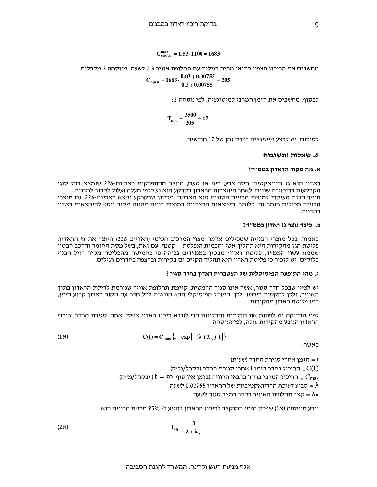## $C_{closed}^{max} = 1.53 \cdot 1100 = 1683$

מחשבים את הריכוז הצפוי בתנאי מחיה רגילים עם תחלופת אוויר 0.3 לשעה. מנוסחה 3 מקבלים :

$$
C_{open} = 1683 \cdot \frac{0.03 + 0.00755}{0.3 + 0.00755} = 205
$$

לבסוף, מחשבים את הזמן המרבי למיטיגציה, לפי נוסחה 2 :

$$
T_{\text{mit}} = \frac{3500}{205} = 17
$$

לסיכום, יש לבצע מיטיגציה בפרק זמן של 17 חודשים.

#### 6. שאלות ותשובות

#### א. מה מקור הראדון בממ״ד?

ראדון הוא גז רדיואקטיבי חסר צבע, ריח או טעם, הנוצר מהתפרקות ראדיום-226 שנמצא בכל סוגי הקרקעות בריכוזים שונים. לאחר היווצרות הראדון בקרקע הוא נע כלפי מעלה ועלול לחדור למבנים. חומר הגלם העיקרי למוצרי הבנייה השונים הוא האדמה. מכיוון שבקרקע נמצא ראדיום-226, גם מוצרי הבנייה מכילים חומר זה. כלומר, הימצאות הראדיום במוצרי בנייה מהווה מקור נוסף להימצאות ראדון במבנים.

#### ב. כיצד נוצר גז ראדון בממ׳׳ד?

כאמור, בכל מוצרי הבנייה שמכילים אדמה מצוי המרכיב הכימי (ראדיום-226) היוצר את גז הראדון. פליטת הגז מהקירות היא תהליך אטי והכמות הנפלטת – קטנה. עם זאת, בשל מסת החומר והרכב הבטון שממנו עשוי הממייד, פליטת ראדון מבטון בממיידים גבוהה פי כחמישה מהפליטה מקיר רגיל הבנוי בלוקים. יש לזכור כי פליטת ראדון היא תהליך הקיים גם בקירות וברצפה בחדרים רגילים.

#### ג. מהי התופעה הפיסיקלית של הצטברות ראדון בחדר סגור?

יש לציין שבכל חדר סגור, אשר אינו סגור הרמטית, קיימת תחלופת אוויר שגורמת לדילול הראדון בתוך האוויר, ולכן להקטנת ריכוזו. לכן, המודל הפיסיקלי הבא מתאים לכל חדר עם מקור ראדון קבוע בזמן, כמו פליטת ראדון מהקירות.

לפני הבדיקה יש לפתוח את הדלתות והחלונות כדי לוודא ריכוז ראדון אפסי. אחרי סגירת החדר, ריכוז הראדון הנובע מהקירות עולה, לפי הנוסחה :

(1
$$
\aleph
$$
)  $C(t) = C_{\text{max}} \left\{ 1 - \exp \left[ -(\lambda + \lambda_v) t \right] \right\}$ 

כאשר:

t = הזמן אחרי סגירת החדר (שעות)

הריכוז בחדר בזמן t החדר החדר (בקרל/מייק) – הריכוז בחדר בזמן  $C(t)$ 

(בקרל/מייק) (  $t = \infty$  סריכוז המרבי בחדר בתנאי הרוויה (בזמן אין סוף  $t = \infty$ 

לשעה 0.00755 הבוע דעיכת הרדיואקטיביות של הראדון 5,000755 ה

הצב תחלופת האוויר בחדר במצב סגור לשעה  $\lambda$ V

נובע מנוסחה (א1) שפרק הזמן המוקצב לריכוז הראדון להגיע ל- 95% מרמת הרוויה הוא :

$$
T_{eq} = \frac{3}{\lambda + \lambda_v}
$$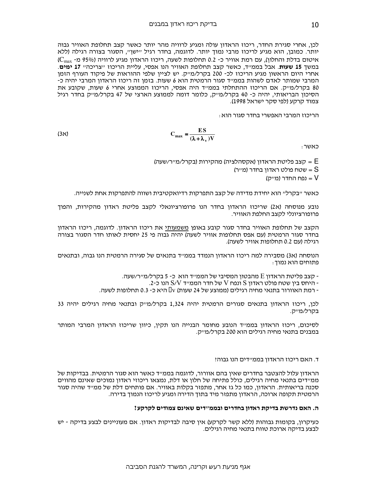לכן, אחרי סגירת החדר, ריכוז הראדון עולה ומגיע לרוויה מהר יותר כאשר קצב תחלופת האוויר גבוה יותר. כמובן, הוא מגיע לריכוז מרבי נמוך יותר. לדוגמה, בחדר רגיל "ישן", הסגור בצורה רגילה (ללא איטום בדלת והחלון), עם רמת אוויר כ- 0.2 תחלופות לשעה, ריכוז הראדון מגיע לרוויה (95% מ- C<sub>max</sub>) במשד 15 **שעות**. אבל בממ*ייד.* כאשר קצב תחלופת האוויר הנו אפסי. עליית הריכוז ״צריכה״ 17 **ימים**. אחרי היום הראשון מגיע הריכוז לכ- 200 בקרל/מייק. יש לציין שלפי ההוראות של פיקוד העורף הזמן המרבי שמותר לאדם לשהות בממייד סגור הרמטית הוא 6 שעות. בזמן זה ריכוז הראדון המרבי יהיה כ-80 בקרל/מייק. אם הריכוז ההתחלתי בממייד היה אפסי, הריכוז הממוצע אחרי 6 שעות, שקובע את הסיכון הבריאותי, יהיה כ- 40 בקרל/מייק, כלומר דומה לממוצע הארצי של 47 בקרל/מייק בחדר רגיל צמוד קרקע (לפי סקר ישראל 1998).

הריכוז המרבי האפשרי בחדר סגור הוא :

$$
C_{\text{max}} = \frac{ES}{(\lambda + \lambda_v)V}
$$

כאשר:

E = קצב פליטת הראדון (אקסהלציה) מהקירות (בקרל/מייר/שעה) שטח פולט ראדון בחדר (מייר)  $\mathrm{S}$ U = נפח החדר (מייק)

כאשר ״בקרל״ הוא יחידת מדידה של קצב התפרקות רדיואקטיבית ושווה להתפרקות אחת לשנייה.

נובע מנוסחה (א2) שריכוז הראדון בחדר הנו פרופורציונאלי לקצב פליטת ראדון מהקירות, והפוך פרופורציונלי לקצב החלפת האוויר.

הקצב של תחלופת האוויר בחדר סגור קובע באופו משמעותי את ריכוז הראדון. לדוגמה, ריכוז הראדון .<br>בחדר סגור הרמטית (עם אפס תחלופות אוויר לשעה) יהיה גבוה פי 25 יחסית לאותו חדר הסגור בצורה רגילה (עם 0.2 תחלופות אוויר לשעה).

הנוסחה (א3) מסבירה למה ריכוז הראדון הנמדד בממ״ד בתנאים של סגירה הרמטית הנו גבוה, ובתנאים פתוחים הוא נמוך :

. קצב פליטת הראדון E מהבטון המסיבי של הממייד הוא כ- 5 בקרל/מייר/שעה -

. היחס בין שטח פולט ראדון S ונפח V של חדר הממייד S/V הנו כ-2.

- רמת האוורור בתנאי מחיה רגילים (ממוצע של 24 שעות) v : היא כ- 0.3 תחלופות לשעה.

לכן, ריכוז הראדון בתנאים סגורים הרמטית יהיה 1,324 בקרל/מייק ובתנאי מחיה רגילים יהיה 33 בקרל/מייק.

לסיכום, ריכוז הראדון בממייד הנובע מחומר הבנייה הנו תקין, כיוון שריכוז הראדון המרבי המותר במבנים בתנאי מחיה רגילים הוא 200 בקרל/מייק.

#### ד. האם ריכוז הראדון בממ״דים הנו גבוה?

הראדון עלול להצטבר בחדרים שאין בהם אוורור, לדוגמה בממ״ד כאשר הוא סגור הרמטית. בבדיקות של ממיידים בתנאי מחיה רגילים, כולל פתיחה של חלון או דלת, נמצאו ריכוזי ראדון נמוכים שאינם מהווים סכנה בריאותית. הראדון, כמו כל גז אחר, מתפזר בקלות באוויר. אם פותחים דלת של ממ״ד שהיה סגור הרמטית תקופה ארוכה, הראדון מתפזר מיד בתוך הדירה ומגיע לריכוז הנמוך בדירה.

#### ה. האם נדרשת בדיקת ראדון בחדרים ובממ"דים שאינם צמודים לקרקע?

כעיקרון, בקומות גבוהות (ללא קשר לקרקע) אין סיבה לבדיקות ראדון. אם מעוניינים לבצע בדיקה - יש לבצע בדיקה ארוכת טווח בתנאי מחיה רגילים.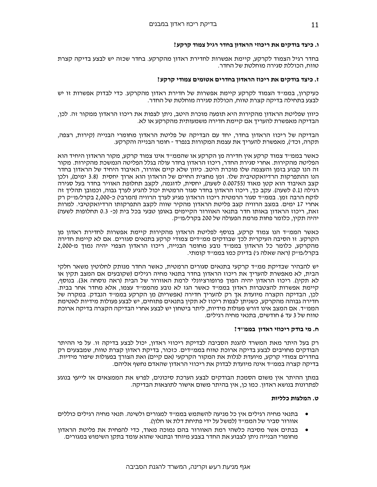#### ו. כיצד בודקים את ריכוזי הראדון בחדר רגיל צמוד קרקע?

בחדר רגיל הצמוד לקרקע, קיימת אפשרות לחדירת ראדון מהקרקע. בחדר שכזה יש לבצע בדיקה קצרת טווח, הכוללת סגירה מוחלטת של החדר.

### ז. כיצד בודקים את ריכוז הראדוו בחדרים אטומים צמודי קרקע?

כעיקרון, בממייד הצמוד לקרקע קיימת אפשרות של חדירת ראדון מהקרקע. כדי לבדוק אפשרות זו יש לבצע בתחילה בדיקה קצרת טווח, הכוללת סגירה מוחלטת של החדר.

כיוון שפליטת הראדון מהקירות היא תופעה מוכרת היטב, ניתן לצפות את ריכוז הראדון ממקור זה. לכן, הבדיקה מאפשרת להעריך אם קיימת חדירה משמעותית מהקרקע או לא.

הבדיקה של ריכוז הראדון בחדר, יחד עם הבדיקה של פליטת הראדון מחומרי הבנייה (קירות, רצפה, תקרה, וכדי), מאפשרת להעריך את עצמת המקורות בנפרד - חומר הבנייה והקרקע.

כאשר בממ״ד צמוד קרקע אין חדירה מן הקרקע או שהממ״ד אינו צמוד קרקע, מקור הראדון היחיד הוא הפליטה מהקירות. אחרי סגירת החדר, ריכוז הראדון בחדר עולה בגלל הפליטה הנמשכת מהקירות. מקור זה הנו קבוע בזמן והעצמה שלו מוכרת היטב. כיוון שלא קיים אוורור, האיבוד היחיד של הראדון בחדר הנו ההתפרקות הרדיואקטיבית שלו. זמן מחצית החיים של הראדון הוא ארוד יחסית (3.8 ימים), ולכן קצב האיבוד הוא קטן מאוד (0.00755 לשעה), יחסית, לדוגמה, לקצב תחלופת האוויר בחדר בעל סגירה רגילה (0.1 לשעה). עקב כך, ריכוז הראדון בחדר סגור הרמטית יכול להגיע לערד גבוה. וכמובו תהליד זה לוקח הרבה זמן. בממ״ד סגור הרמטית ריכוז הראדון מגיע לערד הרוויה (המרבי) כ-2,000 בקרל/מ״ק רק אחרי 17 ימים. במצב הרוויה קצב פליטת הראדון מהקיר שווה לקצב התפרקותו הרדיואקטיבי. למרות זאת, ריכוז הראדון באותו חדר בתנאי האוורור הקיימים באופן טבעי בכל בית (כ- 0.3 תחלופות לשעה) יהיה תקין, כלומר פחות מרמת הפעולה של 200 בקרל/מייק.

כאשר הממייד הנו צמוד קרקע, בנוסף לפליטת הראדון מהקירות קיימת אפשרות לחדירת ראדון מן הקרקע. זו הסיבה העיקרית לכך שבודקים ממיידים צמודי קרקע בתנאים סגורים. אם לא קיימת חדירה מהקרקע, כלומר כל הראדון בממייד נובע מחומר הבנייה, ריכוז הראדון הצפוי יהיה נמוך מ-2,000 בקרל/מייק (ראה שאלה גי) בדיוק כמו בממייד קומתי.

יש להבהיר שבדיקת ממייד קרקעי בתנאים סגורים הרמטית, כאשר החדר מנותק לחלוטין משאר חלקי הבית, לא מאפשרת להעריך את ריכוז הראדון בחדר בתנאי מחיה רגילים (שקובעים אם המצב תקין או לא תקין). ריכוז הראדון יהיה הפוך פרופורציונלי לרמת האוורור של הבית (ראה נוסחה א3). בנוסף, קיימת אפשרות להצטברות ראדון בממייד כאשר הגז לא נובע מהממייד עצמו, אלא מחדר אחר בבית. לכן, הבדיקה הקצרה מיועדת אך רק להעריך חדירה (אפשרית) מן הקרקע בממייד הנבדק. במקרה של חדירה גבוהה מהקרקע, כשניתן לצפות ריכוז לא תקין בתנאים פתוחים, יש לבצע פעולות מידיות לאטימת הממייד. אם המצב אינו דורש פעולות מידיות, ליתר ביטחון יש לבצע אחרי הבדיקה הקצרה בדיקה ארוכת טווח של 3 עד 6 חודשים, בתנאי מחיה רגילים.

#### ח. מי בודק ריכוזי ראדון בממ״ד?

רק בעל היתר מאת המשרד להגנת הסביבה לבדיקת ריכוזי ראדון, יכול לבצע בדיקה זו. על פי ההיתר הבודקים מחויבים לבצע בדיקה ארוכת טווח בממ״דים. כזכור, בדיקת ראדון קצרת טווח, שמבצעים רק בחדרים צמודי קרקע. מיועדת לגלות את המקור הקרקעי (אם קיים) ואת הצורך בפעולות שיפור מידיות. בדיקה קצרה בממייד אינה מיועדת לבדוק את ריכוזי הראדון שהאדם נחשף אליהם.

במתן ההיתר אין משום הסמכת הבודקים לבצע הערכת סיכונים, לפרש את הממצאים או לייעץ בנוגע לפתרונות בנושא ראדון. כמו כן, אין בהיתר משום אישור לתוצאות הבדיקה.

### ט. המלצות כלליות

- בתנאי מחיה רגילים איו כל מניעה להשתמש בממ״ד למגורים ולשינה. תנאי מחיה רגילים כוללים אוורור סביר של הממייד (למשל על ידי פתיחת דלת או חלון).
- בבתים אשר מסיבה כלשהי רמת האוורור בהם נמוכה מאוד, כדי להפחית את פליטת הראדון מחומרי הבנייה ניתן לצבוע את החדר בצבע מיוחד ובתנאי שהוא עומד בתקן השימוש במגורים.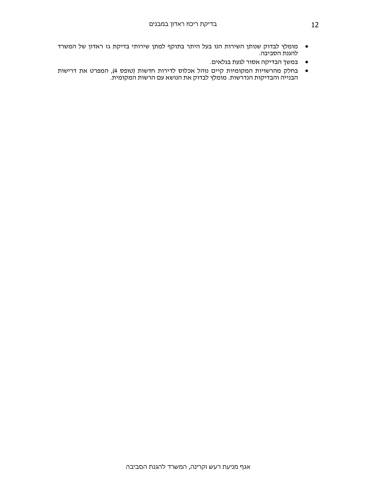- מומלץ לבדוק שנותן השירות הנו בעל היתר בתוקף למתן שירותי בדיקת גז ראדון של המשרד להגנת הסביבה.
	- במשך הבדיקה אסור לגעת בגלאים.
- בחלק מהרשויות המקומיות קיים נוהל אכלוס לדירות חדשות (טופס 4), המפרט את דרישות הבנייה והבדיקות הנדרשות. מומלץ לבדוק את הנושא עם הרשות המקומית.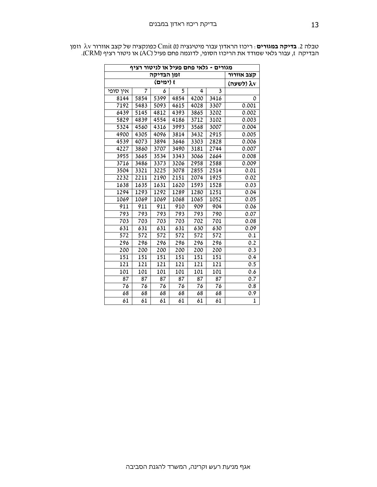ומן λν ספונקציה של קצב אוורור λν טבלה 2. ב**דיקה במגורים** : Cmit (t) סבונקציה של קצב אוורורα א הבדיקה t, עבור גלאי שמודד את הריכוז הסופי, לדוגמה פחם פעיל (AC) או ניטור רציף (CRM).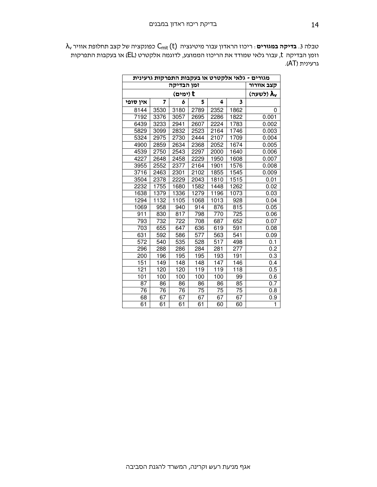$\lambda_{\sf v}$  טבלה 3. **בדיקה במגורים** : ריכוז הראדון עבור מיטיגציה  $\mathsf{C}_{\sf mit} \left( \mathsf{t} \right)$  כפונקציה של קצב תחלופת אוויר וזמן הבדיקה t, עבור גלאי שמודד את הריכוז הממוצע, לדוגמה אלקטרט (EL) או בעקבות התפרקות גרעינית (AT).

| מגורים - גלאי אלקטרט או בעקבות התפרקות גרעינית |                              |            |      |                  |                  |              |  |  |
|------------------------------------------------|------------------------------|------------|------|------------------|------------------|--------------|--|--|
|                                                |                              | קצב אוורור |      |                  |                  |              |  |  |
|                                                | (לשעה) <b>λ</b> <sub>ν</sub> |            |      |                  |                  |              |  |  |
| אין סופי                                       | 7                            | 6          | 5    | 4                | 3                |              |  |  |
| 8144                                           | 3530                         | 3180       | 2789 | 2352             | 1862             | 0            |  |  |
| 7192                                           | 3376                         | 3057       | 2695 | 2286             | 1822             | 0.001        |  |  |
| 6439                                           | 3233                         | 2941       | 2607 | 2224             | 1783             | 0.002        |  |  |
| 5829                                           | 3099                         | 2832       | 2523 | 2164             | 1746             | 0.003        |  |  |
| 5324                                           | 2975                         | 2730       | 2444 | 2107             | 1709             | 0.004        |  |  |
| 4900                                           | 2859                         | 2634       | 2368 | 2052             | 1674             | 0.005        |  |  |
| 4539                                           | 2750                         | 2543       | 2297 | 2000             | 1640             | 0.006        |  |  |
| 4227                                           | 2648                         | 2458       | 2229 | 1950             | 1608             | 0.007        |  |  |
| 3955                                           | 2552                         | 2377       | 2164 | 1901             | 1576             | 0.008        |  |  |
| 3716                                           | 2463                         | 2301       | 2102 | 1855             | 1545             | 0.009        |  |  |
| 3504                                           | 2378                         | 2229       | 2043 | 1810             | 1515             | 0.01         |  |  |
| 2232                                           | 1755                         | 1680       | 1582 | 1448             | 1262             | 0.02         |  |  |
| 1638                                           | 1379                         | 1336       | 1279 | 1196             | 1073             | 0.03         |  |  |
| 1294                                           | 1132                         | 1105       | 1068 | 1013             | 928              | 0.04         |  |  |
| 1069                                           | 958                          | 940        | 914  | 876              | 815              | 0.05         |  |  |
| 911                                            | 830                          | 817        | 798  | 770              | 725              | 0.06         |  |  |
| 793                                            | 732                          | 722        | 708  | 687              | 652              | 0.07         |  |  |
| 703                                            | 655                          | 647        | 636  | 619              | 591              | 0.08         |  |  |
| 631                                            | 592                          | 586        | 577  | 563              | 541              | 0.09         |  |  |
| $\overline{572}$                               | 540                          | 535        | 528  | $\overline{517}$ | 498              | 0.1          |  |  |
| 296                                            | 288                          | 286        | 284  | 281              | $\overline{277}$ | 0.2          |  |  |
| 200                                            | 196                          | 195        | 195  | 193              | 191              | 0.3          |  |  |
| 151                                            | 149                          | 148        | 148  | 147              | 146              | 0.4          |  |  |
| 121                                            | 120                          | 120        | 119  | 119              | 118              | 0.5          |  |  |
| 101                                            | 100                          | 100        | 100  | 100              | 99               | 0.6          |  |  |
| 87                                             | 86                           | 86         | 86   | 86               | 85               | 0.7          |  |  |
| 76                                             | 76                           | 76         | 75   | 75               | 75               | 0.8          |  |  |
| 68                                             | 67                           | 67         | 67   | 67               | 67               | 0.9          |  |  |
| 61                                             | 61                           | 61         | 61   | 60               | 60               | $\mathbf{1}$ |  |  |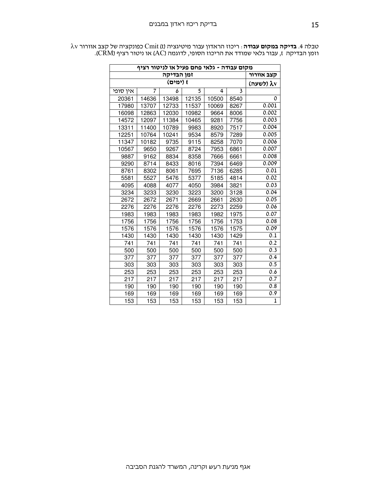| מקום עבודה - גלאי פחם פעיל או לניטור רציף |                          |           |       |       |                         |              |  |  |  |
|-------------------------------------------|--------------------------|-----------|-------|-------|-------------------------|--------------|--|--|--|
| זמן הבדיקה<br>קצב אוורור                  |                          |           |       |       |                         |              |  |  |  |
|                                           |                          | (לשעה) λν |       |       |                         |              |  |  |  |
| איו סופי                                  | $\overline{\phantom{a}}$ | 6         | 5     | 4     | $\overline{\mathbf{3}}$ |              |  |  |  |
| 20361                                     | 14636                    | 13498     | 12135 | 10500 | 8540                    | 0            |  |  |  |
| 17980                                     | 13707                    | 12733     | 11537 | 10069 | 8267                    | 0.001        |  |  |  |
| 16098                                     | 12863                    | 12030     | 10982 | 9664  | 8006                    | 0.002        |  |  |  |
| 14572                                     | 12097                    | 11384     | 10465 | 9281  | 7756                    | 0.003        |  |  |  |
| 13311                                     | 11400                    | 10789     | 9983  | 8920  | 7517                    | 0.004        |  |  |  |
| 12251                                     | 10764                    | 10241     | 9534  | 8579  | 7289                    | 0.005        |  |  |  |
| 11347                                     | 10182                    | 9735      | 9115  | 8258  | 7070                    | 0.006        |  |  |  |
| 10567                                     | 9650                     | 9267      | 8724  | 7953  | 6861                    | 0.007        |  |  |  |
| 9887                                      | 9162                     | 8834      | 8358  | 7666  | 6661                    | 0.008        |  |  |  |
| 9290                                      | 8714                     | 8433      | 8016  | 7394  | 6469                    | 0.009        |  |  |  |
| 8761                                      | 8302                     | 8061      | 7695  | 7136  | 6285                    | 0.01         |  |  |  |
| 5581                                      | 5527                     | 5476      | 5377  | 5185  | 4814                    | 0.02         |  |  |  |
| 4095                                      | 4088                     | 4077      | 4050  | 3984  | 3821                    | 0.03         |  |  |  |
| 3234                                      | 3233                     | 3230      | 3223  | 3200  | 3128                    | 0.04         |  |  |  |
| 2672                                      | 2672                     | 2671      | 2669  | 2661  | 2630                    | 0.05         |  |  |  |
| 2276                                      | 2276                     | 2276      | 2276  | 2273  | 2259                    | 0.06         |  |  |  |
| 1983                                      | 1983                     | 1983      | 1983  | 1982  | 1975                    | 0.07         |  |  |  |
| 1756                                      | 1756                     | 1756      | 1756  | 1756  | 1753                    | 0.08         |  |  |  |
| 1576                                      | 1576                     | 1576      | 1576  | 1576  | 1575                    | 0.09         |  |  |  |
| 1430                                      | 1430                     | 1430      | 1430  | 1430  | 1429                    | 0.1          |  |  |  |
| 741                                       | 741                      | 741       | 741   | 741   | 741                     | 0.2          |  |  |  |
| 500                                       | 500                      | 500       | 500   | 500   | 500                     | 0.3          |  |  |  |
| 377                                       | 377                      | 377       | 377   | 377   | 377                     | 0.4          |  |  |  |
| 303                                       | 303                      | 303       | 303   | 303   | 303                     | 0.5          |  |  |  |
| 253                                       | 253                      | 253       | 253   | 253   | 253                     | 0.6          |  |  |  |
| 217                                       | 217                      | 217       | 217   | 217   | 217                     | 0.7          |  |  |  |
| 190                                       | 190                      | 190       | 190   | 190   | 190                     | 0.8          |  |  |  |
| 169                                       | 169                      | 169       | 169   | 169   | 169                     | 0.9          |  |  |  |
| 153                                       | 153                      | 153       | 153   | 153   | 153                     | $\mathbf{1}$ |  |  |  |

 $\lambda$ v טבלה 4. **בדיקה במקום עבודה** : ריכוז הראדון עבור מיטיגציה (t) Cmit (t כפונקציה של קצב אוורור ( וזמן הבדיקה t, עבור גלאי שמודד את הריכוז הסופי, לדוגמה (AC) או ניטור רציף (CRM).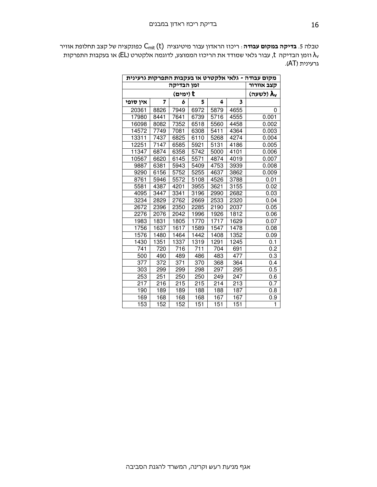טבלה 5. **בדיקה במקום עבודה** : ריכוז הראדון עבור מיטיגציה C<sub>mit</sub> (t) כפונקציה של קצב תחלופת אוויר וזמן הבדיקה  $\,$ t, עבור גלאי שמודד את הריכוז הממוצע, לדוגמה אלקטרט (EL) או בעקבות התפרקות  $\lambda_{\sf v}$ גרעינית (AT).

| מקום עבודה - גלאי אלקטרט או בעקבות התפרקות גרעינית |                  |                  |                  |      |                   |                  |  |
|----------------------------------------------------|------------------|------------------|------------------|------|-------------------|------------------|--|
|                                                    | זמן הבדיקה       |                  |                  |      |                   |                  |  |
|                                                    | t (ימים)         |                  |                  |      |                   |                  |  |
| אין סופי                                           | 7                | 6                | 5                | 4    | 3                 |                  |  |
| 20361                                              | 8826             | 7949             | 6972             | 5879 | 4655              | 0                |  |
| 17980                                              | 8441             | 7641             | 6739             | 5716 | 4555              | 0.001            |  |
| 16098                                              | 8082             | 7352             | 6518             | 5560 | 4458              | 0.002            |  |
| 14572                                              | 7749             | 7081             | 6308             | 5411 | 4364              | 0.003            |  |
| 13311                                              | 7437             | 6825             | 6110             | 5268 | 4274              | 0.004            |  |
| 12251                                              | 7147             | 6585             | 5921             | 5131 | 4186              | 0.005            |  |
| 11347                                              | 6874             | 6358             | 5742             | 5000 | 4101              | 0.006            |  |
| 10567                                              | 6620             | 6145             | 5571             | 4874 | 4019              | 0.007            |  |
| 9887                                               | 6381             | 5943             | 5409             | 4753 | 3939              | 0.008            |  |
| 9290                                               | 6156             | 5752             | 5255             | 4637 | 3862              | 0.009            |  |
| 8761                                               | 5946             | 5572             | 5108             | 4526 | 3788              | 0.01             |  |
| 5581                                               | 4387             | 4201             | 3955             | 3621 | 3155              | 0.02             |  |
| 4095                                               | 3447             | 3341             | 3196             | 2990 | 2682              | 0.03             |  |
| 3234                                               | 2829             | 2762             | 2669             | 2533 | 2320              | 0.04             |  |
| 2672                                               | 2396             | 2350             | 2285             | 2190 | 2037              | 0.05             |  |
| 2276                                               | 2076             | 2042             | 1996             | 1926 | 1812              | 0.06             |  |
| 1983                                               | 1831             | 1805             | 1770             | 1717 | 1629              | 0.07             |  |
| 1756                                               | 1637             | 1617             | 1589             | 1547 | 1478              | 0.08             |  |
| 1576                                               | 1480             | 1464             | 1442             | 1408 | 1352              | 0.09             |  |
| 1430                                               | 1351             | 1337             | 1319             | 1291 | $12\overline{45}$ | 0.1              |  |
| 741                                                | 720              | 716              | 711              | 704  | 691               | $\overline{0.2}$ |  |
| 500                                                | 490              | 489              | 486              | 483  | 477               | 0.3              |  |
| $\overline{377}$                                   | $\overline{372}$ | $\overline{371}$ | $\overline{370}$ | 368  | 364               | 0.4              |  |
| 303                                                | 299              | 299              | 298              | 297  | 295               | 0.5              |  |
| 253                                                | 251              | 250              | 250              | 249  | $24\overline{7}$  | 0.6              |  |
| 217                                                | 216              | 215              | 215              | 214  | 213               | 0.7              |  |
| 190                                                | 189              | 189              | 188              | 188  | 187               | 0.8              |  |
| 169                                                | 168              | 168              | 168              | 167  | 167               | 0.9              |  |
| 153                                                | 152              | 152              | 151              | 151  | 151               | $\mathbf{1}$     |  |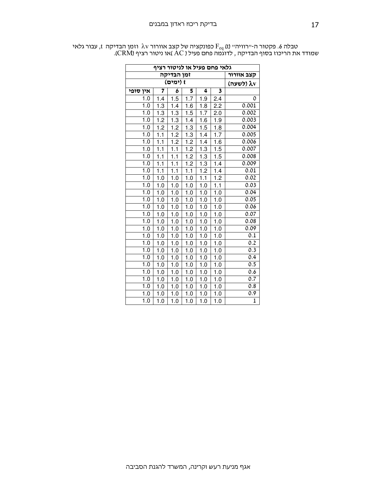| גלאי פחם פעיל או לניטור רציף |                  |                  |                  |                  |                   |                  |  |  |
|------------------------------|------------------|------------------|------------------|------------------|-------------------|------------------|--|--|
| זמן הבדיקה<br>קצב אוורור     |                  |                  |                  |                  |                   |                  |  |  |
|                              | (לשעה) λν        |                  |                  |                  |                   |                  |  |  |
| אין סופי                     | 7                | 6                | 5                | 4                | 3                 |                  |  |  |
| 1.0                          | 1.4              | 1.5              | 1.7              | 1.9              | 2.4               | 0                |  |  |
| 1.0                          | 1.3              | 1.4              | 1.6              | 1.8              | 2.2               | 0.001            |  |  |
| $\overline{1.0}$             | $\overline{1.3}$ | 1.3              | 1.5              | $\overline{1.7}$ | 2.0               | 0.002            |  |  |
| 1.0                          | 1.2              | 1.3              | 1.4              | 1.6              | 1.9               | 0.003            |  |  |
| 1.0                          | 1.2              | 1.2              | 1.3              | 1.5              | 1.8               | 0.004            |  |  |
| 1.0                          | 1.1              | 1.2              | 1.3              | 1.4              | 1.7               | 0.005            |  |  |
| 1.0                          | 1.1              | 1.2              | 1.2              | $1.4$            | 1.6               | 0.006            |  |  |
| 1.0                          | 1.1              | 1.1              | 1.2              | 1.3              | 1.5               | 0.007            |  |  |
| 1.0                          | $\overline{1.1}$ | $\overline{1.1}$ | 1.2              | 1.3              | 1.5               | 0.008            |  |  |
| 1.0                          | 1.1              | 1.1              | 1.2              | 1.3              | 1.4               | 0.009            |  |  |
| 1.0                          | $\overline{1.1}$ | 1.1              | $\overline{1.1}$ | 1.2              | 1.4               | 0.01             |  |  |
| 1.0                          | 1.0              | 1.0              | 1.0              | $\overline{1.1}$ | 1.2               | 0.02             |  |  |
| 1.0                          | 1.0              | 1.0              | 1.0              | 1.0              | 1.1               | 0.03             |  |  |
| 1.0                          | 1.0              | 1.0              | 1.0              | 1.0              | 1.0               | 0.04             |  |  |
| 1.0                          | 1.0              | 1.0              | 1.0              | 1.0              | 1.0               | 0.05             |  |  |
| $\overline{1.0}$             | 1.0              | 1.0              | 1.0              | 1.0              | $1.0$             | 0.06             |  |  |
| 1.0                          | 1.0              | 1.0              | 1.0              | 1.0              | 1.0               | 0.07             |  |  |
| 1.0                          | 1.0              | 1.0              | 1.0              | 1.0              | 1.0               | 0.08             |  |  |
| 1.0                          | 1.0              | 1.0              | 1.0              | 1.0              | 1.0               | 0.09             |  |  |
| 1.0                          | 1.0              | 1.0              | 1.0              | 1.0              | 1.0               | $\overline{0.1}$ |  |  |
| 1.0                          | $\overline{1}.0$ | $\overline{1}.0$ | $\overline{1}.0$ | $\overline{1}.0$ | $\overline{1}$ .0 | 0.2              |  |  |
| 1.0                          | 1.0              | 1.0              | 1.0              | 1.0              | 1.0               | 0.3              |  |  |
| 1.0                          | 1.0              | 1.0              | 1.0              | 1.0              | $1.0$             | 0.4              |  |  |
| 1.0                          | 1.0              | 1.0              | 1.0              | 1.0              | 1.0               | 0.5              |  |  |
| $\overline{1.0}$             | 1.0              | 1.0              | 1.0              | 1.0              | $1.0\,$           | 0.6              |  |  |
| 1.0                          | 1.0              | 1.0              | 1.0              | 1.0              | 1.0               | $\overline{0.7}$ |  |  |
| 1.0                          | 1.0              | 1.0              | 1.0              | 1.0              | 1.0               | 0.8              |  |  |
| 1.0                          | 1.0              | 1.0              | 1.0              | 1.0              | 1.0               | 0.9              |  |  |
| 1.0                          | 1.0              | 1.0              | 1.0              | 1.0              | 1.0               | $\mathbf{1}$     |  |  |

טבלה 6. פקטור ה- $r$ רוויה $\rm{Fe}_{q}$  (t) כפונקציה של קצב אוורור  $\rm{\lambda} \rm{v}$  וזמן הבדיקה  $\rm{t}$ , עבור גלאי שמודד את הריכוז בסוף הבדיקה , לדוגמה פחם פעיל ( AC )או ניטור רציף (CRM).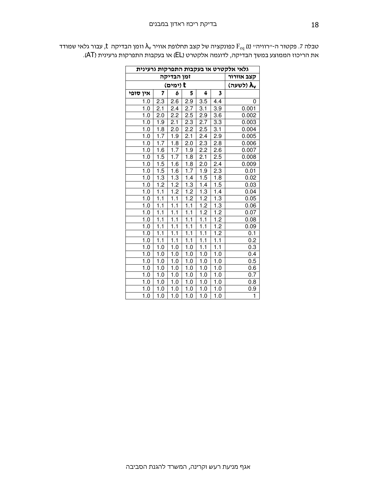| גלאי אלקטרט או בעקבות התפרקות גרעינית<br>זמן הבדיקה |                  |                  |                  |                  |                         |                  |  |
|-----------------------------------------------------|------------------|------------------|------------------|------------------|-------------------------|------------------|--|
|                                                     | קצב אוורור       |                  |                  |                  |                         |                  |  |
|                                                     | t (ימים)         |                  |                  |                  |                         |                  |  |
| אין סופי                                            | 7                | 6                | 5                | 4                | $\overline{\mathbf{3}}$ |                  |  |
| 1.0                                                 | 2.3              | 2.6              | 2.9              | 3.5              | 4.4                     | 0                |  |
| 1.0                                                 | $2.\overline{1}$ | 2.4              | 2.7              | 3.1              | 3.9                     | 0.001            |  |
| 1.0                                                 | 2.0              | 2.2              | 2.5              | 2.9              | 3.6                     | 0.002            |  |
| 1.0                                                 | 1.9              | 2.1              | 2.3              | 2.7              | 3.3                     | 0.003            |  |
| $\overline{1.0}$                                    | $\overline{1.8}$ | 2.0              | 2.2              | 2.5              | $\overline{3.1}$        | 0.004            |  |
| $\overline{1.0}$                                    | 1.7              | 1.9              | 2.1              | $\overline{2.4}$ | 2.9                     | 0.005            |  |
| 1.0                                                 | 1.7              | $\overline{1.8}$ | 2.0              | 2.3              | 2.8                     | 0.006            |  |
| 1.0                                                 | 1.6              | 1.7              | 1.9              | 2.2              | 2.6                     | 0.007            |  |
| 1.0                                                 | 1.5              | 1.7              | 1.8              | 2.1              | 2.5                     | 0.008            |  |
| 1.0                                                 | 1.5              | $\overline{1.6}$ | $\overline{1.8}$ | 2.0              | 2.4                     | 0.009            |  |
| 1.0                                                 | 1.5              | $\overline{1.6}$ | 1.7              | $\overline{1.9}$ | 2.3                     | 0.01             |  |
| 1.0                                                 | $\overline{1.3}$ | 1.3              | 1.4              | 1.5              | 1.8                     | 0.02             |  |
| 1.0                                                 | $\overline{1.2}$ | $\overline{1.2}$ | 1.3              | 1.4              | 1.5                     | 0.03             |  |
| 1.0                                                 | 1.1              | 1.2              | 1.2              | $\overline{1.3}$ | 1.4                     | 0.04             |  |
| 1.0                                                 | 1.1              | $\overline{1.1}$ | 1.2              | $\overline{1.2}$ | $\overline{1.3}$        | 0.05             |  |
| 1.0                                                 | $\overline{1.1}$ | 1.1              | 1.1              | 1.2              | 1.3                     | 0.06             |  |
| $\overline{1.0}$                                    | 1.1              | 1.1              | $\overline{1.1}$ | 1.2              | 1.2                     | 0.07             |  |
| 1.0                                                 | 1.1              | 1.1              | 1.1              | $\overline{1.1}$ | 1.2                     | 0.08             |  |
| 1.0                                                 | $\overline{1.1}$ | $\overline{1.1}$ | $\overline{1.1}$ | $\overline{1.1}$ | $\overline{1.2}$        | 0.09             |  |
| 1.0                                                 | 1.1              | 1.1              | 1.1              | 1.1              | 1.2                     | 0.1              |  |
| 1.0                                                 | 1.1              | 1.1              | 1.1              | 1.1              | $\overline{1.1}$        | 0.2              |  |
| 1.0                                                 | 1.0              | 1.0              | 1.0              | 1.1              | 1.1                     | 0.3              |  |
| 1.0                                                 | 1.0              | 1.0              | 1.0              | 1.0              | 1.0                     | 0.4              |  |
| 1.0                                                 | $1.0$            | 1.0              | 1.0              | 1.0              | 1.0                     | 0.5              |  |
| 1.0                                                 | 1.0              | $\overline{1.0}$ | 1.0              | $\overline{1.0}$ | 1.0                     | $0.\overline{6}$ |  |
| 1.0                                                 | 1.0              | 1.0              | 1.0              | 1.0              | 1.0                     | 0.7              |  |
| 1.0                                                 | 1.0              | 1.0              | 1.0              | 1.0              | 1.0                     | 0.8              |  |
| 1.0                                                 | 1.0              | 1.0              | 1.0              | 1.0              | 1.0                     | 0.9              |  |
| $\overline{1.0}$                                    | 1.0              | 1.0              | 1.0              | 1.0              | $\overline{1.0}$        | $\overline{1}$   |  |

עבלה 7. פקטור ה- $r$ רוויה $\rm{F_{eq}}$  (t) כפונקציה של קצב תחלופת אוויר  $\rm{\lambda_{v}}$  וזמן הבדיקה  $\rm{t}$ , עבור גלאי שמודד את הריכוז הממוצע במשך הבדיקה, לדוגמה אלקטרט (EL) או בעקבות התפרקות גרעינית (AT).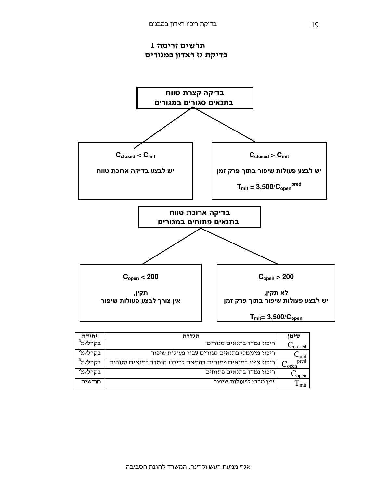תרשים זרימה 1 בדיקת גז ראדון במגורים



| יחידה   | הגדרה                                                     |                     |  |  |
|---------|-----------------------------------------------------------|---------------------|--|--|
| בקרל/מ  | ריכוז נמדד בתנאים סגורים                                  | ∙closed             |  |  |
| בקרל/מ  | ריכוז מינימלי בתנאים סגורים עבור פעולות שיפור             | ∽mit                |  |  |
| בקרל/מ  | ריכוז צפוי בתנאים פתוחים בהתאם לריכוז הנמדד בתנאים סגורים | pred<br>$\sim$ open |  |  |
| בקרל/מ' | ריכוז נמדד בתנאים פתוחים                                  | -open               |  |  |
| חודשים  | זמן מרבי לפעולות שיפור                                    | mit                 |  |  |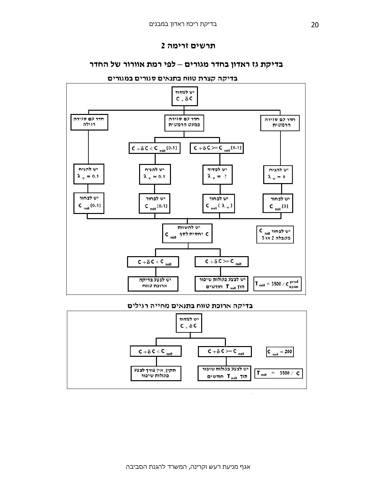## תרשים זרימה 2

## בדיקת גז ראדון בחדר מגורים – לפי רמת אוורור של החדר



בדיקה קצרת טווח בתנאים סגורים במגורים

### בדיקה ארוכת טווח בתנאים מחייה רגילים



 $\widetilde{X}$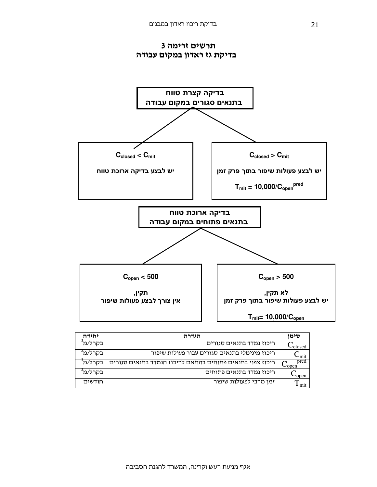



| יחידה   | הגדרה                                                     | סימו                |
|---------|-----------------------------------------------------------|---------------------|
| בקרל∕מ' | ריכוז נמדד בתנאים סגורים                                  | ≀closed             |
| בקרל/מ' | ריכוז מינימלי בתנאים סגורים עבור פעולות שיפור             | ∽mit                |
| בקרל/מ' | ריכוז צפוי בתנאים פתוחים בהתאם לריכוז הנמדד בתנאים סגורים | pred<br>$\cup$ open |
| בקרל/מ' | ריכוז נמדד בתנאים פתוחים                                  | -open               |
| חודשים  | זמן מרבי לפעולות שיפור                                    | mit                 |